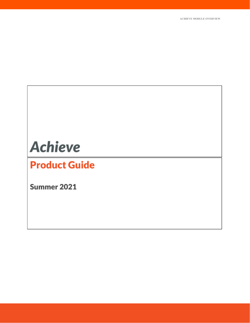# **Achieve**

# **Product Guide**

Summer 2021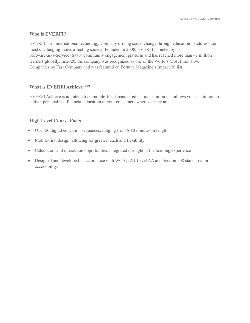# **Who is EVERFI?**

EVERFI is an international technology company driving social change through education to address the most challenging issues affecting society. Founded in 2008, EVERFI is fueled by its Software-as-a-Service (SaaS) community engagement platform and has reached more than 41 million learners globally. In 2020, the company was recognized as one of the World's Most Innovative Companies by Fast Company and was featured on Fortune Magazine's Impact 20 list.

# **What is EVERFI AchieveTM?**

EVERFI Achieve is an interactive, mobile-first financial education solution that allows your institution to deliver personalized financial education to your consumers wherever they are.

# **High Level Course Facts**

- Over 50 digital education sequences, ranging from 5-10 minutes in length
- Mobile-first design, allowing for greater reach and flexibility
- Calculators and interaction opportunities integrated throughout the learning experience
- Designed and developed in accordance with WCAG 2.1 Level AA and Section 508 standards for accessibility.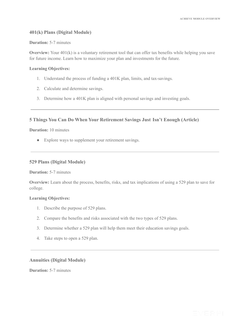# **401(k) Plans (Digital Module)**

#### **Duration:** 5-7 minutes

**Overview:** Your 401(k) is a voluntary retirement tool that can offer tax benefits while helping you save for future income. Learn how to maximize your plan and investments for the future.

#### **Learning Objectives:**

- 1. Understand the process of funding a 401K plan, limits, and tax-savings.
- 2. Calculate and determine savings.
- 3. Determine how a 401K plan is aligned with personal savings and investing goals.

# **5 Things You Can Do When Your Retirement Savings Just Isn't Enough (Article)**

#### **Duration:** 10 minutes

• Explore ways to supplement your retirement savings.

# **529 Plans (Digital Module)**

#### **Duration:** 5-7 minutes

**Overview:** Learn about the process, benefits, risks, and tax implications of using a 529 plan to save for college.

#### **Learning Objectives:**

- 1. Describe the purpose of 529 plans.
- 2. Compare the benefits and risks associated with the two types of 529 plans.
- 3. Determine whether a 529 plan will help them meet their education savings goals.
- 4. Take steps to open a 529 plan.

# **Annuities (Digital Module)**

**Duration:** 5-7 minutes

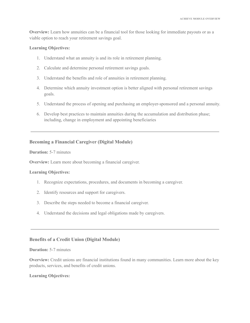**Overview:** Learn how annuities can be a financial tool for those looking for immediate payouts or as a viable option to reach your retirement savings goal.

# **Learning Objectives:**

- 1. Understand what an annuity is and its role in retirement planning.
- 2. Calculate and determine personal retirement savings goals.
- 3. Understand the benefits and role of annuities in retirement planning.
- 4. Determine which annuity investment option is better aligned with personal retirement savings goals.
- 5. Understand the process of opening and purchasing an employer-sponsored and a personal annuity.
- 6. Develop best practices to maintain annuities during the accumulation and distribution phase; including, change in employment and appointing beneficiaries

# **Becoming a Financial Caregiver (Digital Module)**

#### **Duration:** 5-7 minutes

**Overview:** Learn more about becoming a financial caregiver.

#### **Learning Objectives:**

- 1. Recognize expectations, procedures, and documents in becoming a caregiver.
- 2. Identify resources and support for caregivers.
- 3. Describe the steps needed to become a financial caregiver.
- 4. Understand the decisions and legal obligations made by caregivers.

# **Benefits of a Credit Union (Digital Module)**

#### **Duration:** 5-7 minutes

**Overview:** Credit unions are financial institutions found in many communities. Learn more about the key products, services, and benefits of credit unions.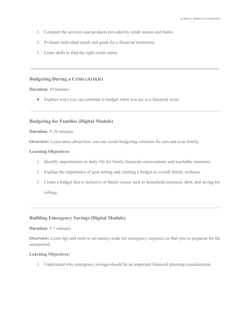- 1. Compare the services and products provided by credit unions and banks.
- 2. Evaluate individual needs and goals for a financial institution.
- 3. Learn skills to find the right credit union.

# **Budgeting During a Crisis (Article)**

#### **Duration:** 10 minutes

● Explore ways you can continue to budget when you are in a financial crisis

# **Budgeting for Families (Digital Module)**

**Duration:** 8-10 minutes

**Overview:** Learn more about how you can create budgeting solutions for you and your family.

#### **Learning Objectives:**

- 1. Identify opportunities in daily life for family financial conversations and teachable moments.
- 2. Explain the importance of goal setting and creating a budget to overall family wellness.
- 3. Create a budget that is inclusive of family issues such as household expenses, debt, and saving for college.

# **Building Emergency Savings (Digital Module)**

#### **Duration:** 5-7 minutes

**Overview:** Learn tips and tools to set money aside for emergency expenses so that you're prepared for the unexpected.

#### **Learning Objectives:**

1. Understand why emergency savings should be an important financial planning consideration.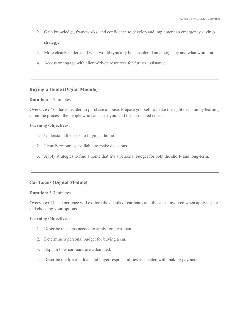- 2. Gain knowledge, frameworks, and confidence to develop and implement an emergency savings strategy.
- 3. More clearly understand what would typically be considered an emergency and what would not.
- 4. Access or engage with client-driven resources for further assistance.

# **Buying a Home (Digital Module)**

# **Duration:** 5-7 minutes

**Overview:** You have decided to purchase a house. Prepare yourself to make the right decision by learning about the process, the people who can assist you, and the associated costs.

# **Learning Objectives:**

- 1. Understand the steps to buying a home.
- 2. Identify resources available to make decisions.
- 3. Apply strategies to find a home that fits a personal budget for both the short- and long-term.

# **Car Loans (Digital Module)**

#### **Duration:** 5-7 minutes

**Overview:** This experience will explore the details of car loans and the steps involved when applying for and choosing your options.

- 1. Describe the steps needed to apply for a car loan.
- 2. Determine a personal budget for buying a car.
- 3. Explain how car loans are calculated.
- 4. Describe the life of a loan and buyer responsibilities associated with making payments.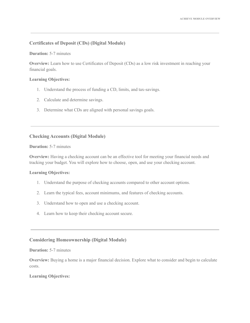# **Certificates of Deposit (CDs) (Digital Module)**

# **Duration:** 5-7 minutes

**Overview:** Learn how to use Certificates of Deposit (CDs) as a low risk investment in reaching your financial goals.

# **Learning Objectives:**

- 1. Understand the process of funding a CD, limits, and tax-savings.
- 2. Calculate and determine savings.
- 3. Determine what CDs are aligned with personal savings goals.

# **Checking Accounts (Digital Module)**

#### **Duration:** 5-7 minutes

**Overview:** Having a checking account can be an effective tool for meeting your financial needs and tracking your budget. You will explore how to choose, open, and use your checking account.

# **Learning Objectives:**

- 1. Understand the purpose of checking accounts compared to other account options.
- 2. Learn the typical fees, account minimums, and features of checking accounts.
- 3. Understand how to open and use a checking account.
- 4. Learn how to keep their checking account secure.

# **Considering Homeownership (Digital Module)**

## **Duration:** 5-7 minutes

**Overview:** Buying a home is a major financial decision. Explore what to consider and begin to calculate costs.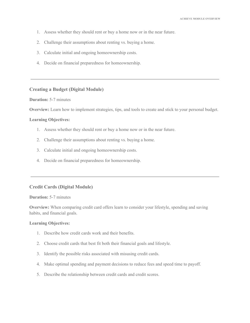- 1. Assess whether they should rent or buy a home now or in the near future.
- 2. Challenge their assumptions about renting vs. buying a home.
- 3. Calculate initial and ongoing homeownership costs.
- 4. Decide on financial preparedness for homeownership.

#### **Creating a Budget (Digital Module)**

# **Duration:** 5-7 minutes

**Overview:** Learn how to implement strategies, tips, and tools to create and stick to your personal budget.

#### **Learning Objectives:**

- 1. Assess whether they should rent or buy a home now or in the near future.
- 2. Challenge their assumptions about renting vs. buying a home.
- 3. Calculate initial and ongoing homeownership costs.
- 4. Decide on financial preparedness for homeownership.

# **Credit Cards (Digital Module)**

#### **Duration:** 5-7 minutes

**Overview:** When comparing credit card offers learn to consider your lifestyle, spending and saving habits, and financial goals.

- 1. Describe how credit cards work and their benefits.
- 2. Choose credit cards that best fit both their financial goals and lifestyle.
- 3. Identify the possible risks associated with misusing credit cards.
- 4. Make optimal spending and payment decisions to reduce fees and speed time to payoff.
- 5. Describe the relationship between credit cards and credit scores.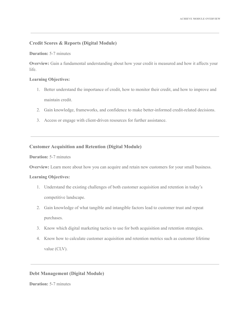# **Credit Scores & Reports (Digital Module)**

# **Duration:** 5-7 minutes

**Overview:** Gain a fundamental understanding about how your credit is measured and how it affects your life.

# **Learning Objectives:**

- 1. Better understand the importance of credit, how to monitor their credit, and how to improve and maintain credit.
- 2. Gain knowledge, frameworks, and confidence to make better-informed credit-related decisions.
- 3. Access or engage with client-driven resources for further assistance.

# **Customer Acquisition and Retention (Digital Module)**

**Duration:** 5-7 minutes

**Overview:** Learn more about how you can acquire and retain new customers for your small business.

#### **Learning Objectives:**

- 1. Understand the existing challenges of both customer acquisition and retention in today's competitive landscape.
- 2. Gain knowledge of what tangible and intangible factors lead to customer trust and repeat purchases.
- 3. Know which digital marketing tactics to use for both acquisition and retention strategies.
- 4. Know how to calculate customer acquisition and retention metrics such as customer lifetime value (CLV).

# **Debt Management (Digital Module)**

**Duration:** 5-7 minutes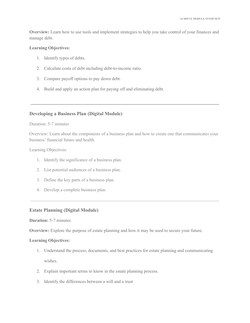**Overview:** Learn how to use tools and implement strategies to help you take control of your finances and manage debt.

#### **Learning Objectives:**

- 1. Identify types of debts.
- 2. Calculate costs of debt including debt-to-income ratio.
- 3. Compare payoff options to pay down debt.
- 4. Build and apply an action plan for paying off and eliminating debt.

# **Developing a Business Plan (Digital Module)**

#### Duration: 5-7 minutes

Overview: Learn about the components of a business plan and how to create one that communicates your business' financial future and health.

Learning Objectives:

- 1. Identify the significance of a business plan.
- 2. List potential audiences of a business plan.
- 3. Define the key parts of a business plan.
- 4. Develop a complete business plan.

# **Estate Planning (Digital Module)**

# **Duration:** 5-7 minutes

**Overview:** Explore the purpose of estate planning and how it may be used to secure your future.

- 1. Understand the process, documents, and best practices for estate planning and communicating wishes.
- 2. Explain important terms to know in the estate planning process.
- 3. Identify the differences between a will and a trust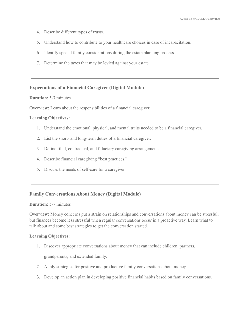- 4. Describe different types of trusts.
- 5. Understand how to contribute to your healthcare choices in case of incapacitation.
- 6. Identify special family considerations during the estate planning process.
- 7. Determine the taxes that may be levied against your estate.

# **Expectations of a Financial Caregiver (Digital Module)**

# **Duration:** 5-7 minutes

**Overview:** Learn about the responsibilities of a financial caregiver.

#### **Learning Objectives:**

- 1. Understand the emotional, physical, and mental traits needed to be a financial caregiver.
- 2. List the short- and long-term duties of a financial caregiver.
- 3. Define filial, contractual, and fiduciary caregiving arrangements.
- 4. Describe financial caregiving "best practices."
- 5. Discuss the needs of self-care for a caregiver.

# **Family Conversations About Money (Digital Module)**

#### **Duration:** 5-7 minutes

**Overview:** Money concerns put a strain on relationships and conversations about money can be stressful, but finances become less stressful when regular conversations occur in a proactive way. Learn what to talk about and some best strategies to get the conversation started.

#### **Learning Objectives:**

1. Discover appropriate conversations about money that can include children, partners,

grandparents, and extended family.

- 2. Apply strategies for positive and productive family conversations about money.
- 3. Develop an action plan in developing positive financial habits based on family conversations.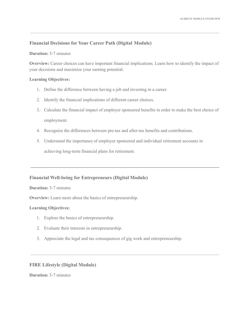# **Financial Decisions for Your Career Path (Digital Module)**

# **Duration:** 5-7 minutes

**Overview:** Career choices can have important financial implications. Learn how to identify the impact of your decisions and maximize your earning potential.

# **Learning Objectives:**

- 1. Define the difference between having a job and investing in a career.
- 2. Identify the financial implications of different career choices.
- 3. Calculate the financial impact of employer sponsored benefits in order to make the best choice of employment.
- 4. Recognize the differences between pre-tax and after-tax benefits and contributions.
- 5. Understand the importance of employer sponsored and individual retirement accounts in

achieving long-term financial plans for retirement.

# **Financial Well-being for Entrepreneurs (Digital Module)**

#### **Duration:** 5-7 minutes

**Overview:** Learn more about the basics of entrepreneurship.

# **Learning Objectives:**

- 1. Explore the basics of entrepreneurship.
- 2. Evaluate their interests in entrepreneurship.
- 3. Appreciate the legal and tax consequences of gig work and entrepreneurship.

# **FIRE Lifestyle (Digital Module)**

**Duration:** 5-7 minutes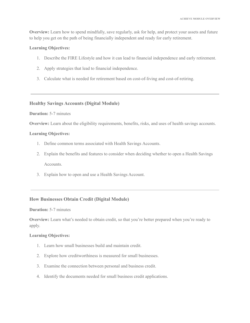**Overview:** Learn how to spend mindfully, save regularly, ask for help, and protect your assets and future to help you get on the path of being financially independent and ready for early retirement.

# **Learning Objectives:**

- 1. Describe the FIRE Lifestyle and how it can lead to financial independence and early retirement.
- 2. Apply strategies that lead to financial independence.
- 3. Calculate what is needed for retirement based on cost-of-living and cost-of-retiring.

# **Healthy Savings Accounts (Digital Module)**

#### **Duration:** 5-7 minutes

**Overview:** Learn about the eligibility requirements, benefits, risks, and uses of health savings accounts.

#### **Learning Objectives:**

- 1. Define common terms associated with Health Savings Accounts.
- 2. Explain the benefits and features to consider when deciding whether to open a Health Savings Accounts.
- 3. Explain how to open and use a Health Savings Account.

# **How Businesses Obtain Credit (Digital Module)**

#### **Duration:** 5-7 minutes

**Overview:** Learn what's needed to obtain credit, so that you're better prepared when you're ready to apply.

- 1. Learn how small businesses build and maintain credit.
- 2. Explore how creditworthiness is measured for small businesses.
- 3. Examine the connection between personal and business credit.
- 4. Identify the documents needed for small business credit applications.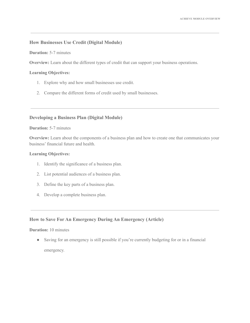# **How Businesses Use Credit (Digital Module)**

**Duration:** 5-7 minutes

**Overview:** Learn about the different types of credit that can support your business operations.

#### **Learning Objectives:**

- 1. Explore why and how small businesses use credit.
- 2. Compare the different forms of credit used by small businesses.

# **Developing a Business Plan (Digital Module)**

# **Duration:** 5-7 minutes

**Overview:** Learn about the components of a business plan and how to create one that communicates your business' financial future and health.

# **Learning Objectives:**

- 1. Identify the significance of a business plan.
- 2. List potential audiences of a business plan.
- 3. Define the key parts of a business plan.
- 4. Develop a complete business plan.

# **How to Save For An Emergency During An Emergency (Article)**

# **Duration:** 10 minutes

● Saving for an emergency is still possible if you're currently budgeting for or in a financial emergency.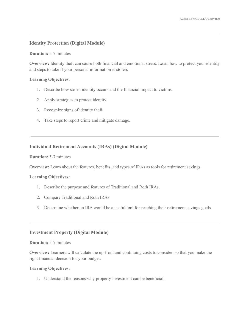# **Identity Protection (Digital Module)**

# **Duration:** 5-7 minutes

**Overview:** Identity theft can cause both financial and emotional stress. Learn how to protect your identity and steps to take if your personal information is stolen.

# **Learning Objectives:**

- 1. Describe how stolen identity occurs and the financial impact to victims.
- 2. Apply strategies to protect identity.
- 3. Recognize signs of identity theft.
- 4. Take steps to report crime and mitigate damage.

# **Individual Retirement Accounts (IRAs) (Digital Module)**

**Duration:** 5-7 minutes

**Overview:** Learn about the features, benefits, and types of IRAs as tools for retirement savings.

#### **Learning Objectives:**

- 1. Describe the purpose and features of Traditional and Roth IRAs.
- 2. Compare Traditional and Roth IRAs.
- 3. Determine whether an IRA would be a useful tool for reaching their retirement savings goals.

# **Investment Property (Digital Module)**

# **Duration:** 5-7 minutes

**Overview:** Learners will calculate the up-front and continuing costs to consider, so that you make the right financial decision for your budget.

#### **Learning Objectives:**

1. Understand the reasons why property investment can be beneficial.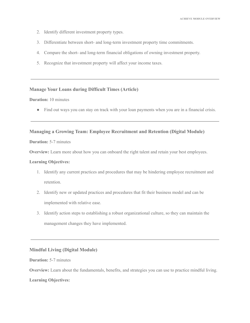- 2. Identify different investment property types.
- 3. Differentiate between short- and long-term investment property time commitments.
- 4. Compare the short- and long-term financial obligations of owning investment property.
- 5. Recognize that investment property will affect your income taxes.

# **Manage Your Loans during Difficult Times (Article)**

# **Duration:** 10 minutes

• Find out ways you can stay on track with your loan payments when you are in a financial crisis.

# **Managing a Growing Team: Employee Recruitment and Retention (Digital Module)**

# **Duration:** 5-7 minutes

**Overview:** Learn more about how you can onboard the right talent and retain your best employees.

#### **Learning Objectives:**

- 1. Identify any current practices and procedures that may be hindering employee recruitment and retention.
- 2. Identify new or updated practices and procedures that fit their business model and can be implemented with relative ease.
- 3. Identify action steps to establishing a robust organizational culture, so they can maintain the management changes they have implemented.

# **Mindful Living (Digital Module)**

# **Duration:** 5-7 minutes

**Overview:** Learn about the fundamentals, benefits, and strategies you can use to practice mindful living.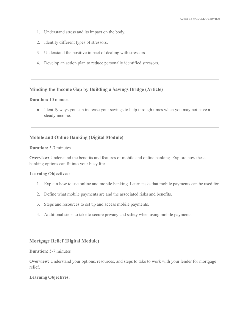- 1. Understand stress and its impact on the body.
- 2. Identify different types of stressors.
- 3. Understand the positive impact of dealing with stressors.
- 4. Develop an action plan to reduce personally identified stressors.

# **Minding the Income Gap by Building a Savings Bridge (Article)**

# **Duration:** 10 minutes

• Identify ways you can increase your savings to help through times when you may not have a steady income.

# **Mobile and Online Banking (Digital Module)**

# **Duration:** 5-7 minutes

**Overview:** Understand the benefits and features of mobile and online banking. Explore how these banking options can fit into your busy life.

# **Learning Objectives:**

- 1. Explain how to use online and mobile banking. Learn tasks that mobile payments can be used for.
- 2. Define what mobile payments are and the associated risks and benefits.
- 3. Steps and resources to set up and access mobile payments.
- 4. Additional steps to take to secure privacy and safety when using mobile payments.

# **Mortgage Relief (Digital Module)**

# **Duration:** 5-7 minutes

**Overview:** Understand your options, resources, and steps to take to work with your lender for mortgage relief.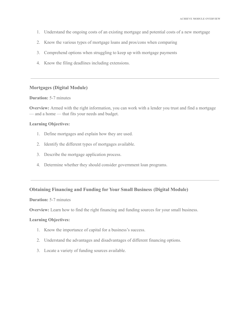- 1. Understand the ongoing costs of an existing mortgage and potential costs of a new mortgage
- 2. Know the various types of mortgage loans and pros/cons when comparing
- 3. Comprehend options when struggling to keep up with mortgage payments
- 4. Know the filing deadlines including extensions.

#### **Mortgages (Digital Module)**

#### **Duration:** 5-7 minutes

**Overview:** Armed with the right information, you can work with a lender you trust and find a mortgage — and a home — that fits your needs and budget.

## **Learning Objectives:**

- 1. Define mortgages and explain how they are used.
- 2. Identify the different types of mortgages available.
- 3. Describe the mortgage application process.
- 4. Determine whether they should consider government loan programs.

# **Obtaining Financing and Funding for Your Small Business (Digital Module)**

# **Duration:** 5-7 minutes

**Overview:** Learn how to find the right financing and funding sources for your small business.

- 1. Know the importance of capital for a business's success.
- 2. Understand the advantages and disadvantages of different financing options.
- 3. Locate a variety of funding sources available.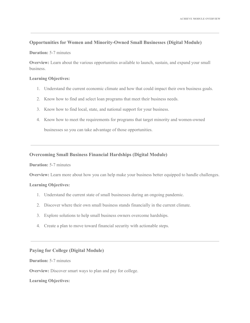# **Opportunities for Women and Minority-Owned Small Businesses (Digital Module)**

# **Duration:** 5-7 minutes

**Overview:** Learn about the various opportunities available to launch, sustain, and expand your small business.

# **Learning Objectives:**

- 1. Understand the current economic climate and how that could impact their own business goals.
- 2. Know how to find and select loan programs that meet their business needs.
- 3. Know how to find local, state, and national support for your business.
- 4. Know how to meet the requirements for programs that target minority and women-owned businesses so you can take advantage of those opportunities.

# **Overcoming Small Business Financial Hardships (Digital Module)**

#### **Duration:** 5-7 minutes

**Overview:** Learn more about how you can help make your business better equipped to handle challenges.

# **Learning Objectives:**

- 1. Understand the current state of small businesses during an ongoing pandemic.
- 2. Discover where their own small business stands financially in the current climate.
- 3. Explore solutions to help small business owners overcome hardships.
- 4. Create a plan to move toward financial security with actionable steps.

# **Paying for College (Digital Module)**

# **Duration:** 5-7 minutes

**Overview:** Discover smart ways to plan and pay for college.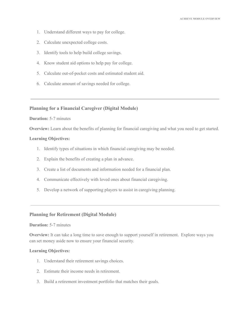- 1. Understand different ways to pay for college.
- 2. Calculate unexpected college costs.
- 3. Identify tools to help build college savings.
- 4. Know student aid options to help pay for college.
- 5. Calculate out-of-pocket costs and estimated student aid.
- 6. Calculate amount of savings needed for college.

# **Planning for a Financial Caregiver (Digital Module)**

#### **Duration:** 5-7 minutes

**Overview:** Learn about the benefits of planning for financial caregiving and what you need to get started.

#### **Learning Objectives:**

- 1. Identify types of situations in which financial caregiving may be needed.
- 2. Explain the benefits of creating a plan in advance.
- 3. Create a list of documents and information needed for a financial plan.
- 4. Communicate effectively with loved ones about financial caregiving.
- 5. Develop a network of supporting players to assist in caregiving planning.

# **Planning for Retirement (Digital Module)**

# **Duration:** 5-7 minutes

**Overview:** It can take a long time to save enough to support yourself in retirement. Explore ways you can set money aside now to ensure your financial security.

- 1. Understand their retirement savings choices.
- 2. Estimate their income needs in retirement.
- 3. Build a retirement investment portfolio that matches their goals.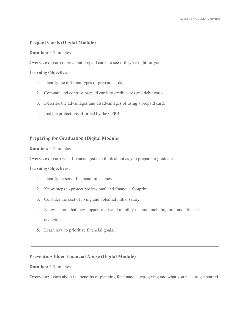# **Prepaid Cards (Digital Module)**

**Duration:** 5-7 minutes

**Overview:** Learn more about prepaid cards to see if they're right for you.

# **Learning Objectives:**

- 1. Identify the different types of prepaid cards.
- 2. Compare and contrast prepaid cards to credit cards and debit cards.
- 3. Describe the advantages and disadvantages of using a prepaid card.
- 4. List the protections afforded by the CFPB.

# **Preparing for Graduation (Digital Module)**

# **Duration:** 5-7 minutes

**Overview:** Learn what financial goals to think about as you prepare to graduate.

# **Learning Objectives:**

- 1. Identify personal financial milestones.
- 2. Know steps to protect professional and financial footprint.
- 3. Consider the cost of living and potential initial salary.
- 4. Know factors that may impact salary and monthly income; including pre- and after-tax deductions.
- 5. Learn how to prioritize financial goals.

# **Preventing Elder Financial Abuse (Digital Module)**

# **Duration:** 5-7 minutes

**Overview:** Learn about the benefits of planning for financial caregiving and what you need to get started.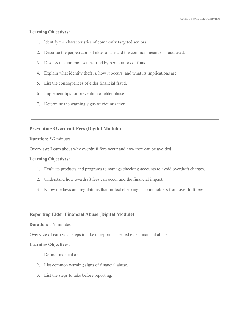# **Learning Objectives:**

- 1. Identify the characteristics of commonly targeted seniors.
- 2. Describe the perpetrators of elder abuse and the common means of fraud used.
- 3. Discuss the common scams used by perpetrators of fraud.
- 4. Explain what identity theft is, how it occurs, and what its implications are.
- 5. List the consequences of elder financial fraud.
- 6. Implement tips for prevention of elder abuse.
- 7. Determine the warning signs of victimization.

# **Preventing Overdraft Fees (Digital Module)**

# **Duration:** 5-7 minutes

**Overview:** Learn about why overdraft fees occur and how they can be avoided.

# **Learning Objectives:**

- 1. Evaluate products and programs to manage checking accounts to avoid overdraft charges.
- 2. Understand how overdraft fees can occur and the financial impact.
- 3. Know the laws and regulations that protect checking account holders from overdraft fees.

# **Reporting Elder Financial Abuse (Digital Module)**

# **Duration:** 5-7 minutes

**Overview:** Learn what steps to take to report suspected elder financial abuse.

- 1. Define financial abuse.
- 2. List common warning signs of financial abuse.
- 3. List the steps to take before reporting.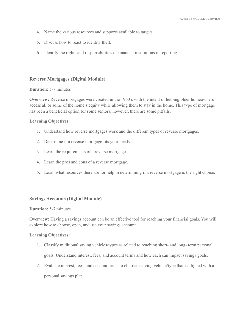- 4. Name the various resources and supports available to targets.
- 5. Discuss how to react to identity theft.
- 6. Identify the rights and responsibilities of financial institutions in reporting.

# **Reverse Mortgages (Digital Module)**

#### **Duration:** 5-7 minutes

**Overview:** Reverse mortgages were created in the 1960's with the intent of helping older homeowners access all or some of the home's equity while allowing them to stay in the home. This type of mortgage has been a beneficial option for some seniors, however, there are some pitfalls.

# **Learning Objectives:**

- 1. Understand how reverse mortgages work and the different types of reverse mortgages.
- 2. Determine if a reverse mortgage fits your needs.
- 3. Learn the requirements of a reverse mortgage.
- 4. Learn the pros and cons of a reverse mortgage.
- 5. Learn what resources there are for help in determining if a reverse mortgage is the right choice.

#### **Savings Accounts (Digital Module)**

# **Duration:** 5-7 minutes

**Overview:** Having a savings account can be an effective tool for reaching your financial goals. You will explore how to choose, open, and use your savings account.

- 1. Classify traditional saving vehicles/types as related to reaching short- and long- term personal goals. Understand interest, fees, and account terms and how each can impact savings goals.
- 2. Evaluate interest, fees, and account terms to choose a saving vehicle/type that is aligned with a personal savings plan.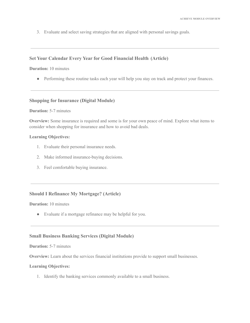3. Evaluate and select saving strategies that are aligned with personal savings goals.

# **Set Your Calendar Every Year for Good Financial Health (Article)**

**Duration:** 10 minutes

• Performing these routine tasks each year will help you stay on track and protect your finances.

#### **Shopping for Insurance (Digital Module)**

#### **Duration:** 5-7 minutes

**Overview:** Some insurance is required and some is for your own peace of mind. Explore what items to consider when shopping for insurance and how to avoid bad deals.

#### **Learning Objectives:**

- 1. Evaluate their personal insurance needs.
- 2. Make informed insurance-buying decisions.
- 3. Feel comfortable buying insurance.

# **Should I Refinance My Mortgage? (Article)**

**Duration:** 10 minutes

● Evaluate if a mortgage refinance may be helpful for you.

#### **Small Business Banking Services (Digital Module)**

#### **Duration:** 5-7 minutes

**Overview:** Learn about the services financial institutions provide to support small businesses.

#### **Learning Objectives:**

1. Identify the banking services commonly available to a small business.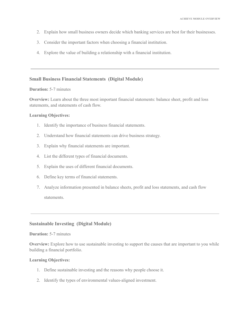- 2. Explain how small business owners decide which banking services are best for their businesses.
- 3. Consider the important factors when choosing a financial institution.
- 4. Explore the value of building a relationship with a financial institution.

# **Small Business Financial Statements (Digital Module)**

#### **Duration:** 5-7 minutes

**Overview:** Learn about the three most important financial statements: balance sheet, profit and loss statements, and statements of cash flow.

#### **Learning Objectives:**

- 1. Identify the importance of business financial statements.
- 2. Understand how financial statements can drive business strategy.
- 3. Explain why financial statements are important.
- 4. List the different types of financial documents.
- 5. Explain the uses of different financial documents.
- 6. Define key terms of financial statements.
- 7. Analyze information presented in balance sheets, profit and loss statements, and cash flow statements.

# **Sustainable Investing (Digital Module)**

#### **Duration:** 5-7 minutes

**Overview:** Explore how to use sustainable investing to support the causes that are important to you while building a financial portfolio.

- 1. Define sustainable investing and the reasons why people choose it.
- 2. Identify the types of environmental values-aligned investment.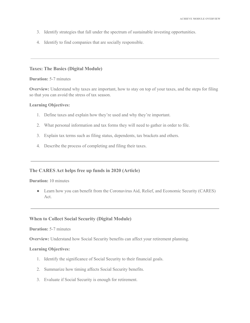- 3. Identify strategies that fall under the spectrum of sustainable investing opportunities.
- 4. Identify to find companies that are socially responsible.

#### **Taxes: The Basics (Digital Module)**

#### **Duration:** 5-7 minutes

**Overview:** Understand why taxes are important, how to stay on top of your taxes, and the steps for filing so that you can avoid the stress of tax season.

#### **Learning Objectives:**

- 1. Define taxes and explain how they're used and why they're important.
- 2. What personal information and tax forms they will need to gather in order to file.
- 3. Explain tax terms such as filing status, dependents, tax brackets and others.
- 4. Describe the process of completing and filing their taxes.

# **The CARES Act helps free up funds in 2020 (Article)**

#### **Duration:** 10 minutes

● Learn how you can benefit from the Coronavirus Aid, Relief, and Economic Security (CARES) Act.

# **When to Collect Social Security (Digital Module)**

#### **Duration:** 5-7 minutes

**Overview:** Understand how Social Security benefits can affect your retirement planning.

- 1. Identify the significance of Social Security to their financial goals.
- 2. Summarize how timing affects Social Security benefits.
- 3. Evaluate if Social Security is enough for retirement.